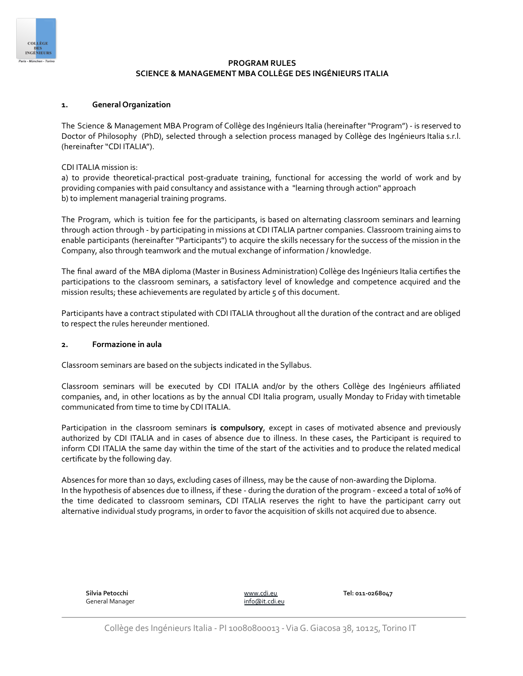

# **PROGRAM RULES SCIENCE & MANAGEMENT MBA COLLÈGE DES INGÉNIEURS ITALIA**

## **1. General Organization**

The Science & Management MBA Program of Collège des Ingénieurs Italia (hereinafter "Program") - is reserved to Doctor of Philosophy (PhD), selected through a selection process managed by Collège des Ingénieurs Italia s.r.l. (hereinafter "CDI ITALIA").

#### CDI ITALIA mission is:

a) to provide theoretical-practical post-graduate training, functional for accessing the world of work and by providing companies with paid consultancy and assistance with a "learning through action" approach b) to implement managerial training programs.

The Program, which is tuition fee for the participants, is based on alternating classroom seminars and learning through action through - by participating in missions at CDI ITALIA partner companies. Classroom training aims to enable participants (hereinafter "Participants") to acquire the skills necessary for the success of the mission in the Company, also through teamwork and the mutual exchange of information / knowledge.

The final award of the MBA diploma (Master in Business Administration) Collège des Ingénieurs Italia certifies the participations to the classroom seminars, a satisfactory level of knowledge and competence acquired and the mission results; these achievements are regulated by article 5 of this document.

Participants have a contract stipulated with CDI ITALIA throughout all the duration of the contract and are obliged to respect the rules hereunder mentioned.

#### **2. Formazione in aula**

Classroom seminars are based on the subjects indicated in the Syllabus.

Classroom seminars will be executed by CDI ITALIA and/or by the others Collège des Ingénieurs affiliated companies, and, in other locations as by the annual CDI Italia program, usually Monday to Friday with timetable communicated from time to time by CDI ITALIA.

Participation in the classroom seminars **is compulsory**, except in cases of motivated absence and previously authorized by CDI ITALIA and in cases of absence due to illness. In these cases, the Participant is required to inform CDI ITALIA the same day within the time of the start of the activities and to produce the related medical certificate by the following day.

Absences for more than 10 days, excluding cases of illness, may be the cause of non-awarding the Diploma. In the hypothesis of absences due to illness, if these - during the duration of the program - exceed a total of 10% of the time dedicated to classroom seminars, CDI ITALIA reserves the right to have the participant carry out alternative individual study programs, in order to favor the acquisition of skills not acquired due to absence.

| Silvia Petocchi |  |
|-----------------|--|
| General Manager |  |

[www.cdi.eu](http://www.cdi.eu) info@it.cdi.eu **Tel: 011-0268047**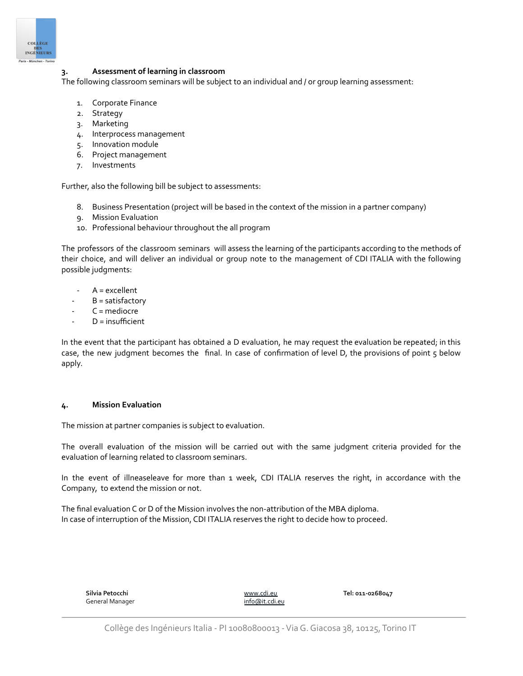

### **3. Assessment of learning in classroom**

The following classroom seminars will be subject to an individual and / or group learning assessment:

- 1. Corporate Finance
- 2. Strategy
- 3. Marketing
- 4. Interprocess management
- 5. Innovation module
- 6. Project management
- 7. Investments

Further, also the following bill be subject to assessments:

- 8. Business Presentation (project will be based in the context of the mission in a partner company)
- 9. Mission Evaluation
- 10. Professional behaviour throughout the all program

The professors of the classroom seminars will assess the learning of the participants according to the methods of their choice, and will deliver an individual or group note to the management of CDI ITALIA with the following possible judgments:

- $A =$  excellent
- $B =$  satisfactory
- $C$  = mediocre
- $D =$  insufficient

In the event that the participant has obtained a D evaluation, he may request the evaluation be repeated; in this case, the new judgment becomes the final. In case of confirmation of level D, the provisions of point 5 below apply.

#### **4. Mission Evaluation**

The mission at partner companies is subject to evaluation.

The overall evaluation of the mission will be carried out with the same judgment criteria provided for the evaluation of learning related to classroom seminars.

In the event of illneaseleave for more than 1 week, CDI ITALIA reserves the right, in accordance with the Company, to extend the mission or not.

The final evaluation C or D of the Mission involves the non-attribution of the MBA diploma. In case of interruption of the Mission, CDI ITALIA reserves the right to decide how to proceed.

| Silvia Petocchi | www.cdi.eu     | Tel: 011-0268047 |
|-----------------|----------------|------------------|
| General Manager | info@it.cdi.eu |                  |